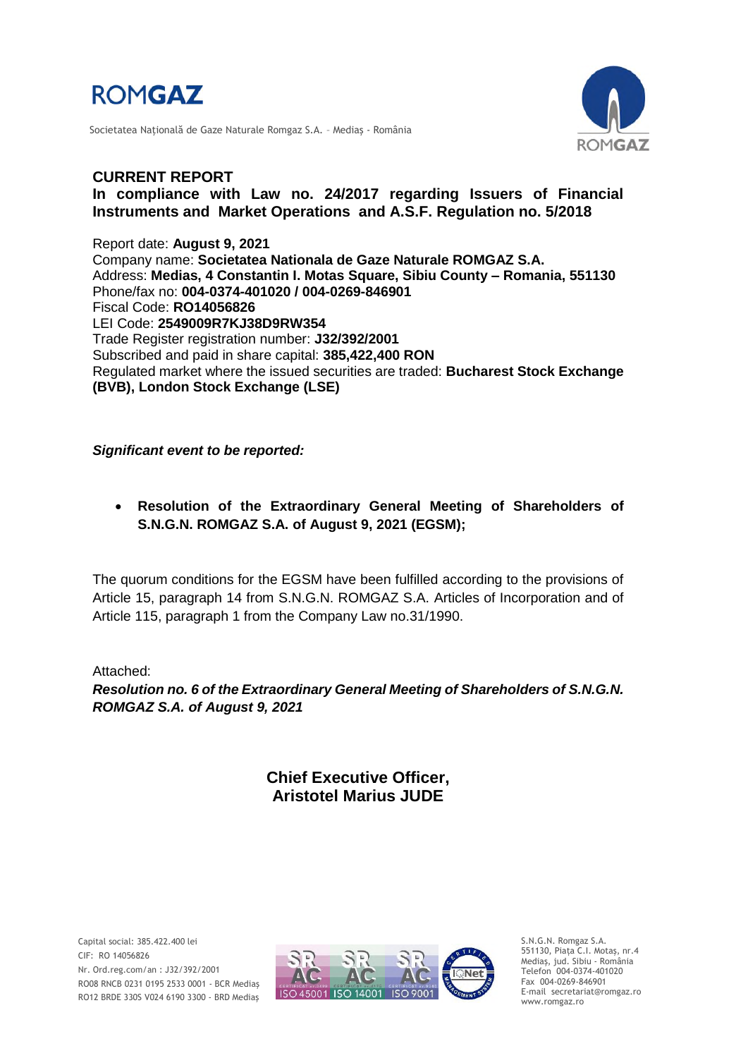

Societatea Naţională de Gaze Naturale Romgaz S.A. – Mediaş - România



# **CURRENT REPORT**

# **In compliance with Law no. 24/2017 regarding Issuers of Financial Instruments and Market Operations and A.S.F. Regulation no. 5/2018**

Report date: **August 9, 2021** Company name: **Societatea Nationala de Gaze Naturale ROMGAZ S.A.** Address: **Medias, 4 Constantin I. Motas Square, Sibiu County – Romania, 551130** Phone/fax no: **004-0374-401020 / 004-0269-846901** Fiscal Code: **RO14056826** LEI Code: **2549009R7KJ38D9RW354** Trade Register registration number: **J32/392/2001** Subscribed and paid in share capital: **385,422,400 RON** Regulated market where the issued securities are traded: **Bucharest Stock Exchange (BVB), London Stock Exchange (LSE)**

*Significant event to be reported:*

 **Resolution of the Extraordinary General Meeting of Shareholders of S.N.G.N. ROMGAZ S.A. of August 9, 2021 (EGSM);**

The quorum conditions for the EGSM have been fulfilled according to the provisions of Article 15, paragraph 14 from S.N.G.N. ROMGAZ S.A. Articles of Incorporation and of Article 115, paragraph 1 from the Company Law no.31/1990.

Attached:

*Resolution no. 6 of the Extraordinary General Meeting of Shareholders of S.N.G.N. ROMGAZ S.A. of August 9, 2021*

> **Chief Executive Officer, Aristotel Marius JUDE**



S.N.G.N. Romgaz S.A. 551130, Piața C.I. Motaş, nr.4 Mediaş, jud. Sibiu - România Telefon 004-0374-401020 Fax 004-0269-846901 E-mail secretariat@romgaz.ro www.romgaz.ro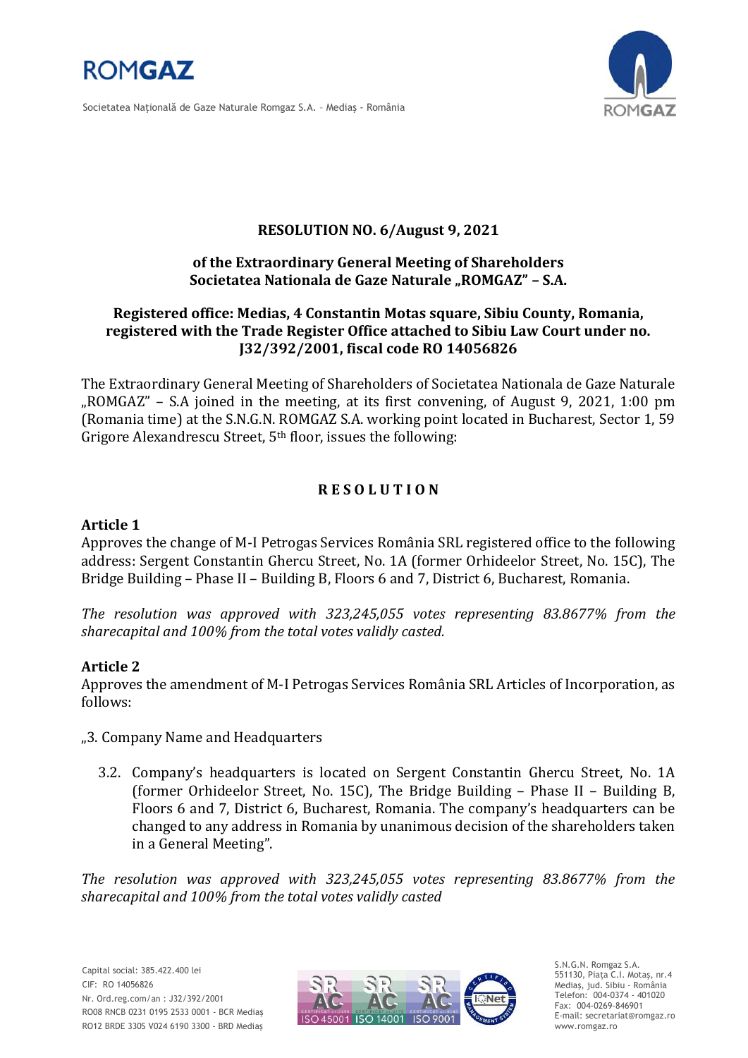

Societatea Naţională de Gaze Naturale Romgaz S.A. – Mediaş - România



# **RESOLUTION NO. 6/August 9, 2021**

### **of the Extraordinary General Meeting of Shareholders Societatea Nationala de Gaze Naturale "ROMGAZ" – S.A.**

# **Registered office: Medias, 4 Constantin Motas square, Sibiu County, Romania, registered with the Trade Register Office attached to Sibiu Law Court under no. J32/392/2001, fiscal code RO 14056826**

The Extraordinary General Meeting of Shareholders of Societatea Nationala de Gaze Naturale "ROMGAZ" – S.A joined in the meeting, at its first convening, of August 9, 2021, 1:00 pm (Romania time) at the S.N.G.N. ROMGAZ S.A. working point located in Bucharest, Sector 1, 59 Grigore Alexandrescu Street, 5th floor, issues the following:

# **R E S O L U T I O N**

### **Article 1**

Approves the change of M-I Petrogas Services România SRL registered office to the following address: Sergent Constantin Ghercu Street, No. 1A (former Orhideelor Street, No. 15C), The Bridge Building – Phase II – Building B, Floors 6 and 7, District 6, Bucharest, Romania.

*The resolution was approved with 323,245,055 votes representing 83.8677% from the sharecapital and 100% from the total votes validly casted.*

#### **Article 2**

Approves the amendment of M-I Petrogas Services România SRL Articles of Incorporation, as follows:

"3. Company Name and Headquarters

3.2. Company's headquarters is located on Sergent Constantin Ghercu Street, No. 1A (former Orhideelor Street, No. 15C), The Bridge Building – Phase II – Building B, Floors 6 and 7, District 6, Bucharest, Romania. The company's headquarters can be changed to any address in Romania by unanimous decision of the shareholders taken in a General Meeting".

*The resolution was approved with 323,245,055 votes representing 83.8677% from the sharecapital and 100% from the total votes validly casted*



S.N.G.N. Romgaz S.A. 551130, Piața C.I. Motaş, nr.4 Mediaş, jud. Sibiu - România Telefon: 004-0374 - 401020 Fax: 004-0269-846901 E-mail: secretariat@romgaz.ro www.romgaz.ro